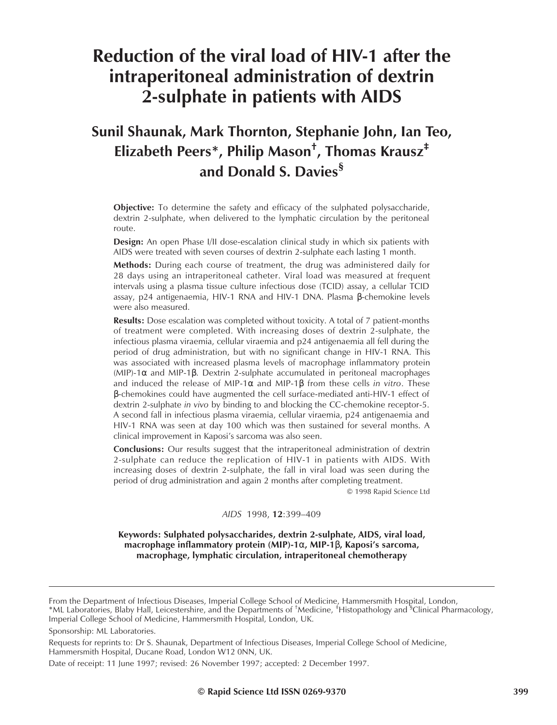# **Reduction of the viral load of HIV-1 after the intraperitoneal administration of dextrin 2-sulphate in patients with AIDS**

## **Sunil Shaunak, Mark Thornton, Stephanie John, Ian Teo, Elizabeth Peers\*, Philip Mason† , Thomas Krausz‡ and Donald S. Davies§**

**Objective:** To determine the safety and efficacy of the sulphated polysaccharide, dextrin 2-sulphate, when delivered to the lymphatic circulation by the peritoneal route.

**Design:** An open Phase I/II dose-escalation clinical study in which six patients with AIDS were treated with seven courses of dextrin 2-sulphate each lasting 1 month.

**Methods:** During each course of treatment, the drug was administered daily for 28 days using an intraperitoneal catheter. Viral load was measured at frequent intervals using a plasma tissue culture infectious dose (TCID) assay, a cellular TCID assay, p24 antigenaemia, HIV-1 RNA and HIV-1 DNA. Plasma β-chemokine levels were also measured.

**Results:** Dose escalation was completed without toxicity. A total of 7 patient-months of treatment were completed. With increasing doses of dextrin 2-sulphate, the infectious plasma viraemia, cellular viraemia and p24 antigenaemia all fell during the period of drug administration, but with no significant change in HIV-1 RNA. This was associated with increased plasma levels of macrophage inflammatory protein (MIP)-1α and MIP-1β. Dextrin 2-sulphate accumulated in peritoneal macrophages and induced the release of MIP-1α and MIP-1β from these cells *in vitro*. These β-chemokines could have augmented the cell surface-mediated anti-HIV-1 effect of dextrin 2-sulphate *in vivo* by binding to and blocking the CC-chemokine receptor-5. A second fall in infectious plasma viraemia, cellular viraemia, p24 antigenaemia and HIV-1 RNA was seen at day 100 which was then sustained for several months. A clinical improvement in Kaposi's sarcoma was also seen.

**Conclusions:** Our results suggest that the intraperitoneal administration of dextrin 2-sulphate can reduce the replication of HIV-1 in patients with AIDS. With increasing doses of dextrin 2-sulphate, the fall in viral load was seen during the period of drug administration and again 2 months after completing treatment.

© 1998 Rapid Science Ltd

*AIDS* 1998, **12**:399–409

**Keywords: Sulphated polysaccharides, dextrin 2-sulphate, AIDS, viral load, macrophage inflammatory protein (MIP)-1**α**, MIP-1**β**, Kaposi's sarcoma, macrophage, lymphatic circulation, intraperitoneal chemotherapy**

Requests for reprints to: Dr S. Shaunak, Department of Infectious Diseases, Imperial College School of Medicine, Hammersmith Hospital, Ducane Road, London W12 0NN, UK.

From the Department of Infectious Diseases, Imperial College School of Medicine, Hammersmith Hospital, London, \*ML Laboratories, Blaby Hall, Leicestershire, and the Departments of <sup>†</sup>Medicine, <sup>‡</sup>Histopathology and <sup>'s</sup>Clinical Pharmacology, Imperial College School of Medicine, Hammersmith Hospital, London, UK.

Sponsorship: ML Laboratories.

Date of receipt: 11 June 1997; revised: 26 November 1997; accepted: 2 December 1997.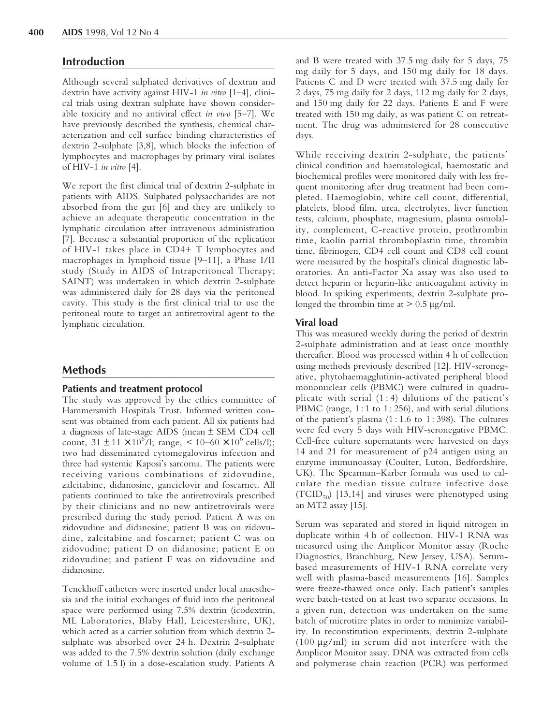## **Introduction**

Although several sulphated derivatives of dextran and dextrin have activity against HIV-1 *in vitro* [\[1–4\],](#page-9-0) clinical trials using dextran sulphate have shown considerable toxicity and no antiviral effect *in vivo* [\[5–7\].](#page-9-0) We have previously described the synthesis, chemical characterization and cell surface binding characteristics of dextrin 2-sulphate [\[3,8\],](#page-9-0) which blocks the infection of lymphocytes and macrophages by primary viral isolates of HIV-1 *in vitro* [\[4\].](#page-9-0)

We report the first clinical trial of dextrin 2-sulphate in patients with AIDS. Sulphated polysaccharides are not absorbed from the gut [\[6\]](#page-9-0) and they are unlikely to achieve an adequate therapeutic concentration in the lymphatic circulation after intravenous administration [\[7\].](#page-9-0) Because a substantial proportion of the replication of HIV-1 takes place in CD4+ T lymphocytes and macrophages in lymphoid tissue [\[9–11\],](#page-9-0) a Phase I/II study (Study in AIDS of Intraperitoneal Therapy; SAINT) was undertaken in which dextrin 2-sulphate was administered daily for 28 days via the peritoneal cavity. This study is the first clinical trial to use the peritoneal route to target an antiretroviral agent to the lymphatic circulation.

## **Methods**

## **Patients and treatment protocol**

The study was approved by the ethics committee of Hammersmith Hospitals Trust. Informed written consent was obtained from each patient. All six patients had a diagnosis of late-stage AIDS (mean ± SEM CD4 cell count,  $31 \pm 11 \times 10^6$ /l; range, <  $10-60 \times 10^6$  cells/l); two had disseminated cytomegalovirus infection and three had systemic Kaposi's sarcoma. The patients were receiving various combinations of zidovudine, zalcitabine, didanosine, ganciclovir and foscarnet. All patients continued to take the antiretrovirals prescribed by their clinicians and no new antiretrovirals were prescribed during the study period. Patient A was on zidovudine and didanosine; patient B was on zidovudine, zalcitabine and foscarnet; patient C was on zidovudine; patient D on didanosine; patient E on zidovudine; and patient F was on zidovudine and didanosine.

Tenckhoff catheters were inserted under local anaesthesia and the initial exchanges of fluid into the peritoneal space were performed using 7.5% dextrin (icodextrin, ML Laboratories, Blaby Hall, Leicestershire, UK), which acted as a carrier solution from which dextrin 2 sulphate was absorbed over 24 h. Dextrin 2-sulphate was added to the 7.5% dextrin solution (daily exchange volume of 1.5 l) in a dose-escalation study. Patients A

and B were treated with 37.5 mg daily for 5 days, 75 mg daily for 5 days, and 150 mg daily for 18 days. Patients C and D were treated with 37.5 mg daily for 2 days, 75 mg daily for 2 days, 112 mg daily for 2 days, and 150 mg daily for 22 days. Patients E and F were treated with 150 mg daily, as was patient C on retreatment. The drug was administered for 28 consecutive days.

While receiving dextrin 2-sulphate, the patients' clinical condition and haematological, haemostatic and biochemical profiles were monitored daily with less frequent monitoring after drug treatment had been completed. Haemoglobin, white cell count, differential, platelets, blood film, urea, electrolytes, liver function tests, calcium, phosphate, magnesium, plasma osmolality, complement, C-reactive protein, prothrombin time, kaolin partial thromboplastin time, thrombin time, fibrinogen, CD4 cell count and CD8 cell count were measured by the hospital's clinical diagnostic laboratories. An anti-Factor Xa assay was also used to detect heparin or heparin-like anticoagulant activity in blood. In spiking experiments, dextrin 2-sulphate prolonged the thrombin time at  $> 0.5 \mu g/ml$ .

## **Viral load**

This was measured weekly during the period of dextrin 2-sulphate administration and at least once monthly thereafter. Blood was processed within 4 h of collection using methods previously described [\[12\].](#page-9-0) HIV-seronegative, phytohaemagglutinin-activated peripheral blood mononuclear cells (PBMC) were cultured in quadruplicate with serial  $(1:4)$  dilutions of the patient's PBMC (range, 1:1 to 1:256), and with serial dilutions of the patient's plasma  $(1:1.6 \text{ to } 1:398)$ . The cultures were fed every 5 days with HIV-seronegative PBMC. Cell-free culture supernatants were harvested on days 14 and 21 for measurement of p24 antigen using an enzyme immunoassay (Coulter, Luton, Bedfordshire, UK). The Spearman–Karber formula was used to calculate the median tissue culture infective dose  $(TCID_{50})$  [\[13,14\]](#page-9-0) and viruses were phenotyped using an MT2 assay [\[15\].](#page-9-0)

Serum was separated and stored in liquid nitrogen in duplicate within 4 h of collection. HIV-1 RNA was measured using the Amplicor Monitor assay (Roche Diagnostics, Branchburg, New Jersey, USA). Serumbased measurements of HIV-1 RNA correlate very well with plasma-based measurements [\[16\].](#page-9-0) Samples were freeze-thawed once only. Each patient's samples were batch-tested on at least two separate occasions. In a given run, detection was undertaken on the same batch of microtitre plates in order to minimize variability. In reconstitution experiments, dextrin 2-sulphate (100 µg/ml) in serum did not interfere with the Amplicor Monitor assay. DNA was extracted from cells and polymerase chain reaction (PCR) was performed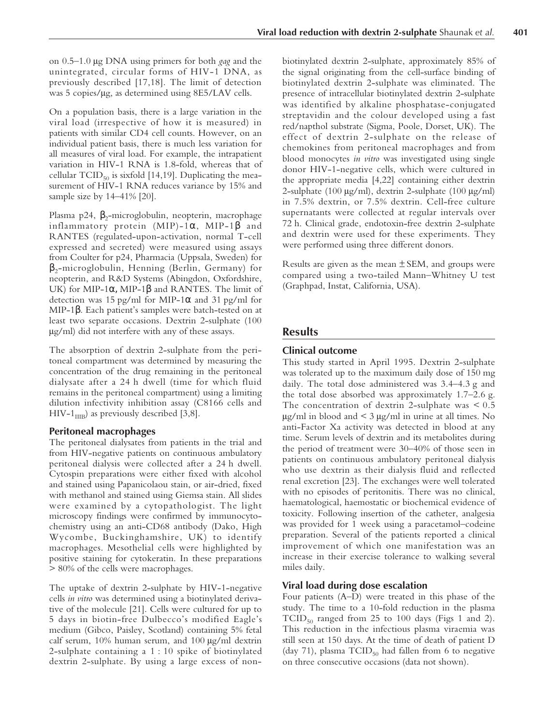on 0.5–1.0 µg DNA using primers for both *gag* and the unintegrated, circular forms of HIV-1 DNA, as previously described [\[17,18\].](#page-9-0) The limit of detection was 5 copies/µg, as determined using 8E5/LAV cells.

On a population basis, there is a large variation in the viral load (irrespective of how it is measured) in patients with similar CD4 cell counts. However, on an individual patient basis, there is much less variation for all measures of viral load. For example, the intrapatient variation in HIV-1 RNA is 1.8-fold, whereas that of cellular  $TCID_{50}$  is sixfold [\[14,19\].](#page-9-0) Duplicating the measurement of HIV-1 RNA reduces variance by 15% and sample size by 14–41% [\[20\].](#page-9-0)

Plasma p24,  $\beta$ <sub>2</sub>-microglobulin, neopterin, macrophage inflammatory protein  $(MIP)$ -1 $\alpha$ , MIP-1 $\beta$  and RANTES (regulated-upon-activation, normal T-cell expressed and secreted) were measured using assays from Coulter for p24, Pharmacia (Uppsala, Sweden) for  $\beta_2$ -microglobulin, Henning (Berlin, Germany) for neopterin, and R&D Systems (Abingdon, Oxfordshire, UK) for MIP-1 $\alpha$ , MIP-1 $\beta$  and RANTES. The limit of detection was 15 pg/ml for MIP-1 $\alpha$  and 31 pg/ml for MIP-1β. Each patient's samples were batch-tested on at least two separate occasions. Dextrin 2-sulphate (100 µg/ml) did not interfere with any of these assays.

The absorption of dextrin 2-sulphate from the peritoneal compartment was determined by measuring the concentration of the drug remaining in the peritoneal dialysate after a 24 h dwell (time for which fluid remains in the peritoneal compartment) using a limiting dilution infectivity inhibition assay (C8166 cells and HIV-1 $_{\text{IIB}}$ ) as previously described [\[3,8\].](#page-9-0)

## **Peritoneal macrophages**

The peritoneal dialysates from patients in the trial and from HIV-negative patients on continuous ambulatory peritoneal dialysis were collected after a 24 h dwell. Cytospin preparations were either fixed with alcohol and stained using Papanicolaou stain, or air-dried, fixed with methanol and stained using Giemsa stain. All slides were examined by a cytopathologist. The light microscopy findings were confirmed by immunocytochemistry using an anti-CD68 antibody (Dako, High Wycombe, Buckinghamshire, UK) to identify macrophages. Mesothelial cells were highlighted by positive staining for cytokeratin. In these preparations > 80% of the cells were macrophages.

The uptake of dextrin 2-sulphate by HIV-1-negative cells *in vitro* was determined using a biotinylated derivative of the molecule [\[21\].](#page-9-0) Cells were cultured for up to 5 days in biotin-free Dulbecco's modified Eagle's medium (Gibco, Paisley, Scotland) containing 5% fetal calf serum,  $10\%$  human serum, and  $100 \mu g/ml$  dextrin 2-sulphate containing a 1 : 10 spike of biotinylated dextrin 2-sulphate. By using a large excess of nonbiotinylated dextrin 2-sulphate, approximately 85% of the signal originating from the cell-surface binding of biotinylated dextrin 2-sulphate was eliminated. The presence of intracellular biotinylated dextrin 2-sulphate was identified by alkaline phosphatase-conjugated streptavidin and the colour developed using a fast red/napthol substrate (Sigma, Poole, Dorset, UK). The effect of dextrin 2-sulphate on the release of chemokines from peritoneal macrophages and from blood monocytes *in vitro* was investigated using single donor HIV-1-negative cells, which were cultured in the appropriate media [\[4,](#page-9-1)[22\]](#page-9-0) containing either dextrin 2-sulphate (100  $\mu$ g/ml), dextrin 2-sulphate (100  $\mu$ g/ml) in 7.5% dextrin, or 7.5% dextrin. Cell-free culture supernatants were collected at regular intervals over 72 h. Clinical grade, endotoxin-free dextrin 2-sulphate and dextrin were used for these experiments. They were performed using three different donors.

Results are given as the mean  $\pm$  SEM, and groups were compared using a two-tailed Mann–Whitney U test (Graphpad, Instat, California, USA).

## **Results**

## **Clinical outcome**

This study started in April 1995. Dextrin 2-sulphate was tolerated up to the maximum daily dose of 150 mg daily. The total dose administered was 3.4–4.3 g and the total dose absorbed was approximately 1.7–2.6 g. The concentration of dextrin 2-sulphate was  $\leq 0.5$  $\mu$ g/ml in blood and < 3  $\mu$ g/ml in urine at all times. No anti-Factor Xa activity was detected in blood at any time. Serum levels of dextrin and its metabolites during the period of treatment were 30–40% of those seen in patients on continuous ambulatory peritoneal dialysis who use dextrin as their dialysis fluid and reflected renal excretion [\[23\].](#page-10-0) The exchanges were well tolerated with no episodes of peritonitis. There was no clinical, haematological, haemostatic or biochemical evidence of toxicity. Following insertion of the catheter, analgesia was provided for 1 week using a paracetamol–codeine preparation. Several of the patients reported a clinical improvement of which one manifestation was an increase in their exercise tolerance to walking several miles daily.

#### **Viral load during dose escalation**

Four patients (A–D) were treated in this phase of the study. The time to a 10-fold reduction in the plasma  $TCID_{50}$  ranged from 25 to 100 days [\(Figs 1](#page-3-0) and [2\).](#page-4-0) This reduction in the infectious plasma viraemia was still seen at 150 days. At the time of death of patient D (day 71), plasma  $TCID_{50}$  had fallen from 6 to negative on three consecutive occasions (data not shown).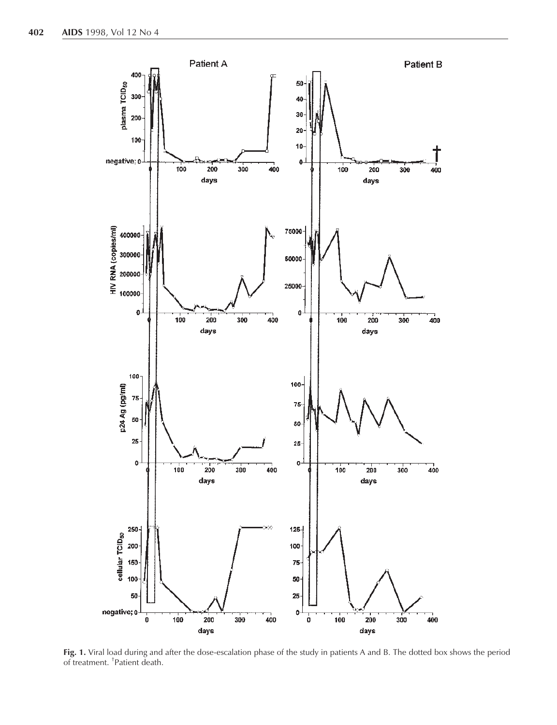<span id="page-3-0"></span>

**Fig. 1.** Viral load during and after the dose-escalation phase of the study in patients A and B. The dotted box shows the period of treatment. † Patient death.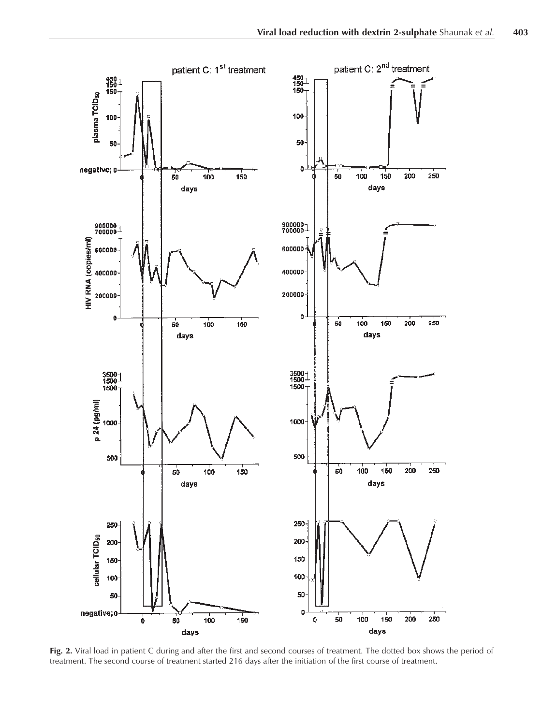<span id="page-4-0"></span>

**Fig. 2.** Viral load in patient C during and after the first and second courses of treatment. The dotted box shows the period of treatment. The second course of treatment started 216 days after the initiation of the first course of treatment.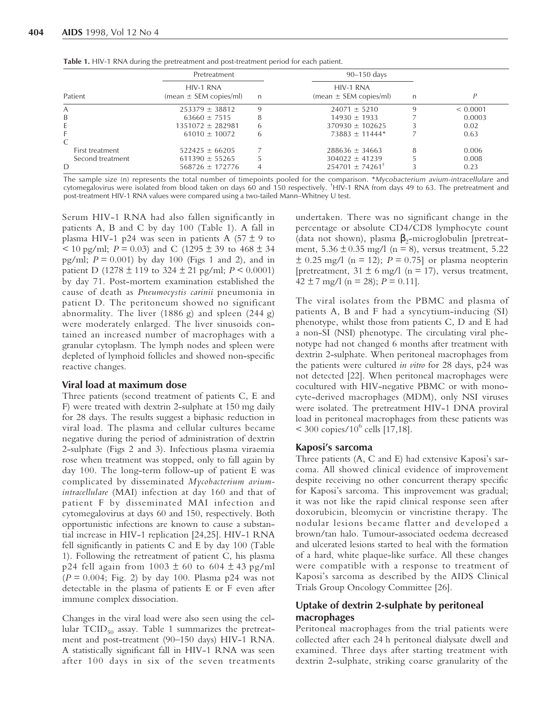| Patient          | Pretreatment                            |   | $90-150$ days                           |   |          |
|------------------|-----------------------------------------|---|-----------------------------------------|---|----------|
|                  | HIV-1 RNA<br>$(mean \pm SEM copies/ml)$ | n | HIV-1 RNA<br>$(mean \pm SEM copies/ml)$ | n |          |
| А                | $253379 \pm 38812$                      | q | $24071 \pm 5210$                        | q | < 0.0001 |
| B                | $63660 \pm 7515$                        | 8 | $14930 \pm 1933$                        |   | 0.0003   |
| E                | $1351072 \pm 282981$                    | h | $370930 \pm 102625$                     |   | 0.02     |
| C                | $61010 \pm 10072$                       | h | $73883 \pm 11444*$                      |   | 0.63     |
| First treatment  | $522425 \pm 66205$                      |   | $288636 \pm 34663$                      |   | 0.006    |
| Second treatment | $611390 \pm 55265$                      |   | $304022 \pm 41239$                      |   | 0.008    |
| D                | $568726 \pm 172776$                     |   | $254701 \pm 74261$ <sup>T</sup>         |   | 0.23     |

**Table 1.** HIV-1 RNA during the pretreatment and post-treatment period for each patient.

The sample size (n) represents the total number of timepoints pooled for the comparison. \**Mycobacterium avium-intracellulare* and cytomegalovirus were isolated from blood taken on days 60 and 150 respectively. † HIV-1 RNA from days 49 to 63. The pretreatment and post-treatment HIV-1 RNA values were compared using a two-tailed Mann–Whitney U test.

Serum HIV-1 RNA had also fallen significantly in patients A, B and C by day 100 (Table 1). A fall in plasma HIV-1 p24 was seen in patients A  $(57 \pm 9)$  to  $\leq$  10 pg/ml; *P* = 0.03) and C (1295  $\pm$  39 to 468  $\pm$  34 pg/ml;  $P = 0.001$ ) by day 100 [\(Figs 1](#page-3-0) and [2\),](#page-4-0) and in patient D (1278  $\pm$  119 to 324  $\pm$  21 pg/ml; *P* < 0.0001) by day 71. Post-mortem examination established the cause of death as *Pneumocystis carinii* pneumonia in patient D. The peritoneum showed no significant abnormality. The liver (1886 g) and spleen (244 g) were moderately enlarged. The liver sinusoids contained an increased number of macrophages with a granular cytoplasm. The lymph nodes and spleen were depleted of lymphoid follicles and showed non-specific reactive changes.

#### **Viral load at maximum dose**

Three patients (second treatment of patients C, E and F) were treated with dextrin 2-sulphate at 150 mg daily for 28 days. The results suggest a biphasic reduction in viral load. The plasma and cellular cultures became negative during the period of administration of dextrin 2-sulphate [\(Figs 2](#page-4-0) and [3\).](#page-6-0) Infectious plasma viraemia rose when treatment was stopped, only to fall again by day 100. The long-term follow-up of patient E was complicated by disseminated *Mycobacterium aviumintracellulare* (MAI) infection at day 160 and that of patient F by disseminated MAI infection and cytomegalovirus at days 60 and 150, respectively. Both opportunistic infections are known to cause a substantial increase in HIV-1 replication [\[24,25\]](#page-10-0). HIV-1 RNA fell significantly in patients C and E by day 100 (Table 1). Following the retreatment of patient C, his plasma p24 fell again from  $1003 \pm 60$  to  $604 \pm 43$  pg/ml (*P* = 0.004; [Fig. 2\)](#page-4-0) by day 100. Plasma p24 was not detectable in the plasma of patients E or F even after immune complex dissociation.

Changes in the viral load were also seen using the cellular  $TCID_{50}$  assay. Table 1 summarizes the pretreatment and post-treatment (90–150 days) HIV-1 RNA. A statistically significant fall in HIV-1 RNA was seen after 100 days in six of the seven treatments undertaken. There was no significant change in the percentage or absolute CD4/CD8 lymphocyte count (data not shown), plasma  $\beta_2$ -microglobulin [pretreatment,  $5.36 \pm 0.35$  mg/l (n = 8), versus treatment,  $5.22$  $\pm$  0.25 mg/l (n = 12); *P* = 0.75] or plasma neopterin [pretreatment,  $31 \pm 6$  mg/l (n = 17), versus treatment,  $42 \pm 7$  mg/l (n = 28);  $P = 0.11$ ].

The viral isolates from the PBMC and plasma of patients A, B and F had a syncytium-inducing (SI) phenotype, whilst those from patients C, D and E had a non-SI (NSI) phenotype. The circulating viral phenotype had not changed 6 months after treatment with dextrin 2-sulphate. When peritoneal macrophages from the patients were cultured *in vitro* for 28 days, p24 was not detected [\[22\].](#page-9-0) When peritoneal macrophages were cocultured with HIV-negative PBMC or with monocyte-derived macrophages (MDM), only NSI viruses were isolated. The pretreatment HIV-1 DNA proviral load in peritoneal macrophages from these patients was  $<$  300 copies/10<sup>6</sup> cells [\[17,18\].](#page-9-0)

#### **Kaposi's sarcoma**

Three patients (A, C and E) had extensive Kaposi's sarcoma. All showed clinical evidence of improvement despite receiving no other concurrent therapy specific for Kaposi's sarcoma. This improvement was gradual; it was not like the rapid clinical response seen after doxorubicin, bleomycin or vincristine therapy. The nodular lesions became flatter and developed a brown/tan halo. Tumour-associated oedema decreased and ulcerated lesions started to heal with the formation of a hard, white plaque-like surface. All these changes were compatible with a response to treatment of Kaposi's sarcoma as described by the AIDS Clinical Trials Group Oncology Committee [\[26\].](#page-10-0)

## **Uptake of dextrin 2-sulphate by peritoneal macrophages**

Peritoneal macrophages from the trial patients were collected after each 24 h peritoneal dialysate dwell and examined. Three days after starting treatment with dextrin 2-sulphate, striking coarse granularity of the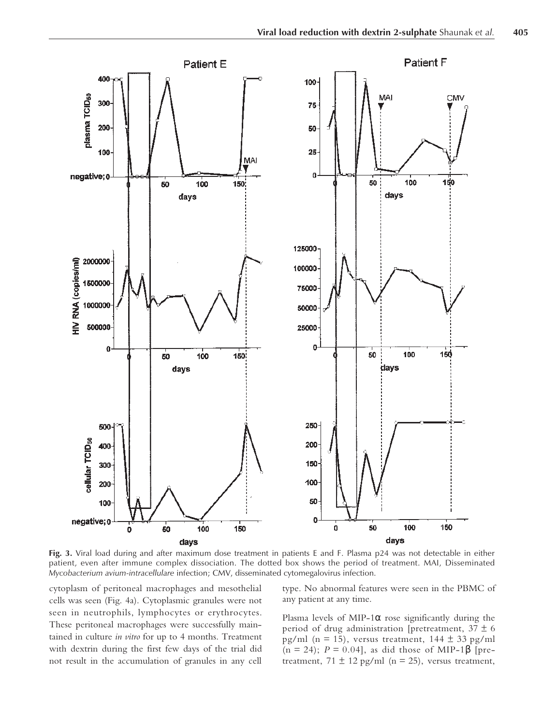<span id="page-6-0"></span>![](_page_6_Figure_1.jpeg)

**Fig. 3.** Viral load during and after maximum dose treatment in patients E and F. Plasma p24 was not detectable in either patient, even after immune complex dissociation. The dotted box shows the period of treatment. MAI, Disseminated *Mycobacterium avium-intracellulare* infection; CMV, disseminated cytomegalovirus infection.

cytoplasm of peritoneal macrophages and mesothelial cells was seen [\(Fig. 4a\).](#page-7-0) Cytoplasmic granules were not seen in neutrophils, lymphocytes or erythrocytes. These peritoneal macrophages were successfully maintained in culture *in vitro* for up to 4 months. Treatment with dextrin during the first few days of the trial did not result in the accumulation of granules in any cell

type. No abnormal features were seen in the PBMC of any patient at any time.

Plasma levels of MIP-1 $\alpha$  rose significantly during the period of drug administration [pretreatment,  $37 \pm 6$ pg/ml (n = 15), versus treatment,  $144 \pm 33$  pg/ml (n = 24); *P* = 0.04], as did those of MIP-1β [pretreatment,  $71 \pm 12$  pg/ml (n = 25), versus treatment,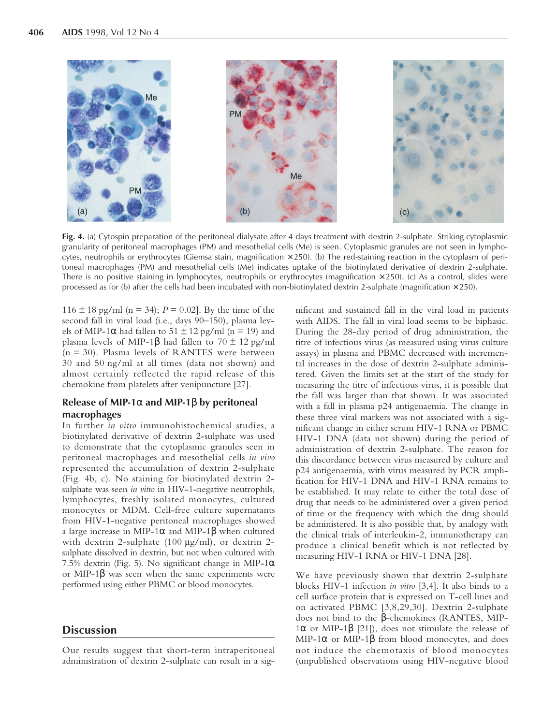<span id="page-7-0"></span>![](_page_7_Picture_1.jpeg)

**Fig. 4.** (a) Cytospin preparation of the peritoneal dialysate after 4 days treatment with dextrin 2-sulphate. Striking cytoplasmic granularity of peritoneal macrophages (PM) and mesothelial cells (Me) is seen. Cytoplasmic granules are not seen in lymphocytes, neutrophils or erythrocytes (Giemsa stain, magnification  $\times$  250). (b) The red-staining reaction in the cytoplasm of peritoneal macrophages (PM) and mesothelial cells (Me) indicates uptake of the biotinylated derivative of dextrin 2-sulphate. There is no positive staining in lymphocytes, neutrophils or erythrocytes (magnification  $\times$  250). (c) As a control, slides were processed as for (b) after the cells had been incubated with non-biotinylated dextrin 2-sulphate (magnification  $\times$  250).

116  $\pm$  18 pg/ml (n = 34); *P* = 0.02]. By the time of the second fall in viral load (i.e., days 90–150), plasma levels of MIP-1 $\alpha$  had fallen to 51  $\pm$  12 pg/ml (n = 19) and plasma levels of MIP-1β had fallen to 70  $\pm$  12 pg/ml (n = 30). Plasma levels of RANTES were between 30 and 50 ng/ml at all times (data not shown) and almost certainly reflected the rapid release of this chemokine from platelets after venipuncture [\[27\].](#page-10-0)

## **Release of MIP-1**α **and MIP-1**β **by peritoneal macrophages**

In further *in vitro* immunohistochemical studies, a biotinylated derivative of dextrin 2-sulphate was used to demonstrate that the cytoplasmic granules seen in peritoneal macrophages and mesothelial cells *in vivo* represented the accumulation of dextrin 2-sulphate (Fig. 4b, c). No staining for biotinylated dextrin 2 sulphate was seen *in vitro* in HIV-1-negative neutrophils, lymphocytes, freshly isolated monocytes, cultured monocytes or MDM. Cell-free culture supernatants from HIV-1-negative peritoneal macrophages showed a large increase in MIP-1 $\alpha$  and MIP-1 $\beta$  when cultured with dextrin 2-sulphate (100 µg/ml), or dextrin 2sulphate dissolved in dextrin, but not when cultured with 7.5% dextrin [\(Fig. 5\).](#page-8-0) No significant change in MIP-1 $\alpha$ or MIP-1 $\beta$  was seen when the same experiments were performed using either PBMC or blood monocytes.

## **Discussion**

Our results suggest that short-term intraperitoneal administration of dextrin 2-sulphate can result in a significant and sustained fall in the viral load in patients with AIDS. The fall in viral load seems to be biphasic. During the 28-day period of drug administration, the titre of infectious virus (as measured using virus culture assays) in plasma and PBMC decreased with incremental increases in the dose of dextrin 2-sulphate administered. Given the limits set at the start of the study for measuring the titre of infectious virus, it is possible that the fall was larger than that shown. It was associated with a fall in plasma p24 antigenaemia. The change in these three viral markers was not associated with a significant change in either serum HIV-1 RNA or PBMC HIV-1 DNA (data not shown) during the period of administration of dextrin 2-sulphate. The reason for this discordance between virus measured by culture and p24 antigenaemia, with virus measured by PCR amplification for HIV-1 DNA and HIV-1 RNA remains to be established. It may relate to either the total dose of drug that needs to be administered over a given period of time or the frequency with which the drug should be administered. It is also possible that, by analogy with the clinical trials of interleukin-2, immunotherapy can produce a clinical benefit which is not reflected by measuring HIV-1 RNA or HIV-1 DNA [\[28\].](#page-10-0)

We have previously shown that dextrin 2-sulphate blocks HIV-1 infection *in vitro* [\[3,4\]](#page-9-0). It also binds to a cell surface protein that is expressed on T-cell lines and on activated PBMC [\[3,8](#page-9-0)[,29,30\]](#page-10-0). Dextrin 2-sulphate does not bind to the β-chemokines (RANTES, MIP-1α or MIP-1β [\[21\]\)](#page-9-0), does not stimulate the release of MIP-1 $\alpha$  or MIP-1 $\beta$  from blood monocytes, and does not induce the chemotaxis of blood monocytes (unpublished observations using HIV-negative blood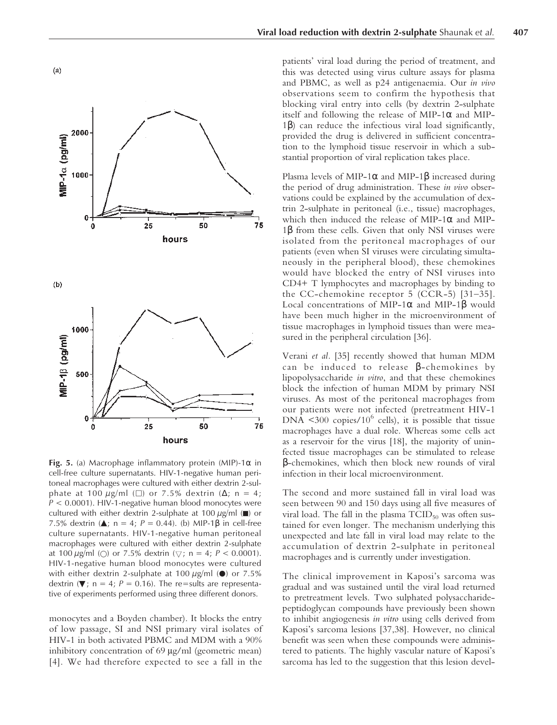![](_page_8_Figure_1.jpeg)

**Fig. 5.** (a) Macrophage inflammatory protein (MIP)-1α in cell-free culture supernatants. HIV-1-negative human peritoneal macrophages were cultured with either dextrin 2-sulphate at 100  $\mu$ g/ml (□) or 7.5% dextrin ( $\Delta$ ; n = 4; *P* < 0.0001). HIV-1-negative human blood monocytes were cultured with either dextrin 2-sulphate at 100  $\mu$ g/ml ( $\blacksquare$ ) or 7.5% dextrin (**Δ**; n = 4; *P* = 0.44). (b) MIP-1β in cell-free culture supernatants. HIV-1-negative human peritoneal macrophages were cultured with either dextrin 2-sulphate at 100  $\mu$ g/ml () or 7.5% dextrin ( $\nabla$ ; n = 4;  $P < 0.0001$ ). HIV-1-negative human blood monocytes were cultured with either dextrin 2-sulphate at 100  $\mu$ g/ml ( $\bullet$ ) or 7.5% dextrin ( $\nabla$ ; n = 4; P = 0.16). The re=sults are representative of experiments performed using three different donors.

monocytes and a Boyden chamber). It blocks the entry of low passage, SI and NSI primary viral isolates of HIV-1 in both activated PBMC and MDM with a 90% inhibitory concentration of 69 µg/ml (geometric mean) [\[4\].](#page-9-0) We had therefore expected to see a fall in the

patients' viral load during the period of treatment, and this was detected using virus culture assays for plasma and PBMC, as well as p24 antigenaemia. Our *in vivo* observations seem to confirm the hypothesis that blocking viral entry into cells (by dextrin 2-sulphate itself and following the release of MIP-1 $\alpha$  and MIP-1β) can reduce the infectious viral load significantly, provided the drug is delivered in sufficient concentration to the lymphoid tissue reservoir in which a substantial proportion of viral replication takes place.

Plasma levels of MIP-1 $\alpha$  and MIP-1 $\beta$  increased during the period of drug administration. These *in vivo* observations could be explained by the accumulation of dextrin 2-sulphate in peritoneal (i.e., tissue) macrophages, which then induced the release of MIP-1α and MIP-1β from these cells. Given that only NSI viruses were isolated from the peritoneal macrophages of our patients (even when SI viruses were circulating simultaneously in the peripheral blood), these chemokines would have blocked the entry of NSI viruses into CD4+ T lymphocytes and macrophages by binding to the CC-chemokine receptor 5 (CCR-5) [\[31–35\].](#page-10-0) Local concentrations of MIP-1 $\alpha$  and MIP-1 $\beta$  would have been much higher in the microenvironment of tissue macrophages in lymphoid tissues than were measured in the peripheral circulation [\[36\].](#page-10-0)

Verani *et al.* [\[35\]](#page-10-0) recently showed that human MDM can be induced to release β-chemokines by lipopolysaccharide *in vitro*, and that these chemokines block the infection of human MDM by primary NSI viruses. As most of the peritoneal macrophages from our patients were not infected (pretreatment HIV-1 DNA  $\leq 300$  copies/10<sup>6</sup> cells), it is possible that tissue macrophages have a dual role. Whereas some cells act as a reservoir for the virus [\[18\],](#page-9-0) the majority of uninfected tissue macrophages can be stimulated to release β-chemokines, which then block new rounds of viral infection in their local microenvironment.

The second and more sustained fall in viral load was seen between 90 and 150 days using all five measures of viral load. The fall in the plasma  $\text{TCID}_{50}$  was often sustained for even longer. The mechanism underlying this unexpected and late fall in viral load may relate to the accumulation of dextrin 2-sulphate in peritoneal macrophages and is currently under investigation.

The clinical improvement in Kaposi's sarcoma was gradual and was sustained until the viral load returned to pretreatment levels. Two sulphated polysaccharidepeptidoglycan compounds have previously been shown to inhibit angiogenesis *in vitro* using cells derived from Kaposi's sarcoma lesions [\[37,38\].](#page-10-0) However, no clinical benefit was seen when these compounds were administered to patients. The highly vascular nature of Kaposi's sarcoma has led to the suggestion that this lesion devel-

<span id="page-8-0"></span> $(a)$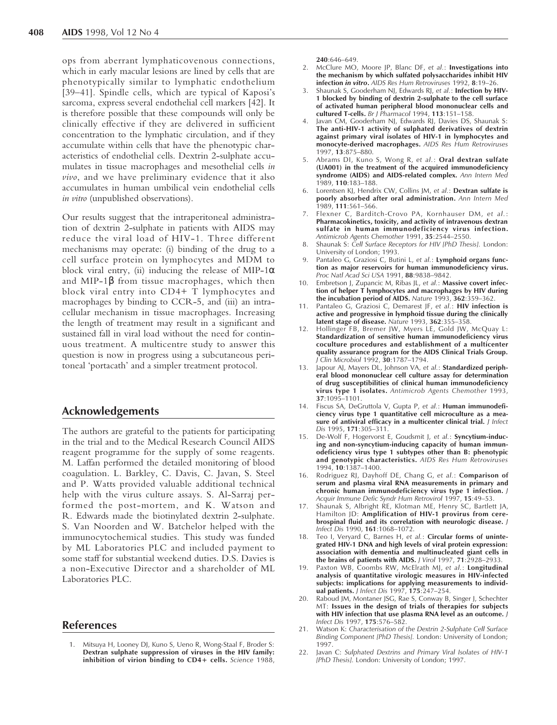<span id="page-9-1"></span><span id="page-9-0"></span>ops from aberrant lymphaticovenous connections, which in early macular lesions are lined by cells that are phenotypically similar to lymphatic endothelium [\[39–41\].](#page-10-0) Spindle cells, which are typical of Kaposi's sarcoma, express several endothelial cell markers [\[42\].](#page-10-0) It is therefore possible that these compounds will only be clinically effective if they are delivered in sufficient concentration to the lymphatic circulation, and if they accumulate within cells that have the phenotypic characteristics of endothelial cells. Dextrin 2-sulphate accumulates in tissue macrophages and mesothelial cells *in vivo*, and we have preliminary evidence that it also accumulates in human umbilical vein endothelial cells *in vitro* (unpublished observations).

Our results suggest that the intraperitoneal administration of dextrin 2-sulphate in patients with AIDS may reduce the viral load of HIV-1. Three different mechanisms may operate: (i) binding of the drug to a cell surface protein on lymphocytes and MDM to block viral entry, (ii) inducing the release of MIP-1 $\alpha$ and MIP-1 $\beta$  from tissue macrophages, which then block viral entry into CD4+ T lymphocytes and macrophages by binding to CCR-5, and (iii) an intracellular mechanism in tissue macrophages. Increasing the length of treatment may result in a significant and sustained fall in viral load without the need for continuous treatment. A multicentre study to answer this question is now in progress using a subcutaneous peritoneal 'portacath' and a simpler treatment protocol.

## **Acknowledgements**

The authors are grateful to the patients for participating in the trial and to the Medical Research Council AIDS reagent programme for the supply of some reagents. M. Laffan performed the detailed monitoring of blood coagulation. L. Barkley, C. Davis, C. Javan, S. Steel and P. Watts provided valuable additional technical help with the virus culture assays. S. Al-Sarraj performed the post-mortem, and K. Watson and R. Edwards made the biotinylated dextrin 2-sulphate. S. Van Noorden and W. Batchelor helped with the immunocytochemical studies. This study was funded by ML Laboratories PLC and included payment to some staff for substantial weekend duties. D.S. Davies is a non-Executive Director and a shareholder of ML Laboratories PLC.

#### **References**

**240**:646–649.

- 2. McClure MO, Moore JP, Blanc DF, *et al.*: **Investigations into the mechanism by which sulfated polysaccharides inhibit HIV infection** *in vitro***.** *AIDS Res Hum Retroviruses* 1992, **8**:19–26.
- Shaunak S, Gooderham NJ, Edwards RJ, et al.: **Infection by HIV-1 blocked by binding of dextrin 2-sulphate to the cell surface of activated human peripheral blood mononuclear cells and cultured T-cells.** *Br J Pharmacol* 1994, **113**:151–158.
- 4. Javan CM, Gooderham NJ, Edwards RJ, Davies DS, Shaunak S: **The anti-HIV-1 activity of sulphated derivatives of dextrin against primary viral isolates of HIV-1 in lymphocytes and monocyte-derived macrophages.** *AIDS Res Hum Retroviruses* 1997, **13**:875–880.
- 5. Abrams DI, Kuno S, Wong R, *et al.*: **Oral dextran sulfate (UA001) in the treatment of the acquired immunodeficiency syndrome (AIDS) and AIDS-related complex.** *Ann Intern Med* 1989, **110**:183–188.
- 6. Lorentsen KJ, Hendrix CW, Collins JM, *et al.*: **Dextran sulfate is poorly absorbed after oral administration.** *Ann Intern Med* 1989, **111**:561–566.
- 7. Flexner C, Barditch-Crovo PA, Kornhauser DM, *et al.*: **Pharmacokinetics, toxicity, and activity of intravenous dextran sulfate in human immunodeficiency virus infection.** *Antimicrob Agents Chemother* 1991, **35**:2544–2550.
- 8. Shaunak S: *Cell Surface Receptors for HIV [PhD Thesis].* London: University of London; 1993.
- 9. Pantaleo G, Graziosi C, Butini L, *et al.*: **Lymphoid organs function as major reservoirs for human immunodeficiency virus.** *Proc Natl Acad Sci USA* 1991, **88**:9838–9842.
- 10. Embretson J, Zupancic M, Ribas JL, *et al.*: **Massive covert infection of helper T lymphocytes and macrophages by HIV during the incubation period of AIDS.** *Nature* 1993, **362**:359–362.
- 11. Pantaleo G, Graziosi C, Demarest JF, *et al.*: **HIV infection is active and progressive in lymphoid tissue during the clinically latent stage of disease.** *Nature* 1993, **362**:355–358.
- 12. Hollinger FB, Bremer JW, Myers LE, Gold JW, McQuay L: **Standardization of sensitive human immunodeficiency virus coculture procedures and establishment of a multicenter quality assurance program for the AIDS Clinical Trials Group.** *J Clin Microbiol* 1992, **30**:1787–1794.
- 13. Japour AJ, Mayers DL, Johnson VA, *et al.*: **Standardized peripheral blood mononuclear cell culture assay for determination of drug susceptibilities of clinical human immunodeficiency virus type 1 isolates.** *Antimicrob Agents Chemother* 1993, **37**:1095–1101.
- 14. Fiscus SA, DeGruttola V, Gupta P, *et al.*: **Human immunodeficiency virus type 1 quantitative cell microculture as a measure of antiviral efficacy in a multicenter clinical trial.** *J Infect Dis* 1995, **171**:305–311.
- 15. De-Wolf F, Hogervorst E, Goudsmit J, *et al.*: **Syncytium-inducing and non-syncytium-inducing capacity of human immunodeficiency virus type 1 subtypes other than B: phenotypic and genotypic characteristics.** *AIDS Res Hum Retroviruses* 1994, **10**:1387–1400.
- 16. Rodriguez RJ, Dayhoff DE, Chang G, *et al.*: **Comparison of serum and plasma viral RNA measurements in primary and chronic human immunodeficiency virus type 1 infection.** *J Acquir Immune Defic Syndr Hum Retrovirol* 1997, **15**:49–53.
- 17. Shaunak S, Albright RE, Klotman ME, Henry SC, Bartlett JA, Hamilton JD: **Amplification of HIV-1 provirus from cerebrospinal fluid and its correlation with neurologic disease.** *J Infect Dis* 1990, **161**:1068–1072.
- 18. Teo I, Veryard C, Barnes H, *et al.*: **Circular forms of unintegrated HIV-1 DNA and high levels of viral protein expression: association with dementia and multinucleated giant cells in the brains of patients with AIDS.** *J Virol* 1997, **71**:2928–2933.
- 19. Paxton WB, Coombs RW, McElrath MJ, *et al.*: **Longitudinal analysis of quantitative virologic measures in HIV-infected subjects: implications for applying measurements to individual patients.** *J Infect Dis* 1997, **175**:247–254.
- 20. Raboud JM, Montaner JSG, Rae S, Conway B, Singer J, Schechter MT: **Issues in the design of trials of therapies for subjects with HIV infection that use plasma RNA level as an outcome.** *J Infect Dis* 1997, **175**:576–582.
- 21. Watson K: *Characterisation of the Dextrin 2-Sulphate Cell Surface Binding Component [PhD Thesis].* London: University of London; 1997.
- 22. Javan C: *Sulphated Dextrins and Primary Viral Isolates of HIV-1 [PhD Thesis].* London: University of London; 1997.

<sup>1.</sup> Mitsuya H, Looney DJ, Kuno S, Ueno R, Wong-Staal F, Broder S: **Dextran sulphate suppression of viruses in the HIV family: inhibition of virion binding to CD4+ cells.** *Science* 1988,